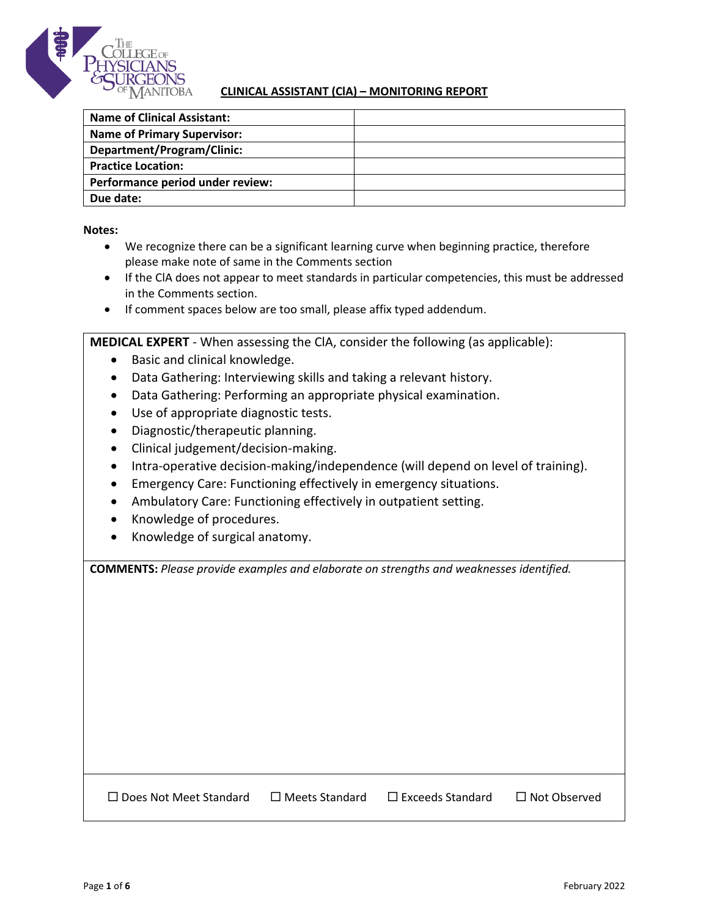

## **CLINICAL ASSISTANT (ClA) – MONITORING REPORT**

| <b>Name of Clinical Assistant:</b> |  |
|------------------------------------|--|
| <b>Name of Primary Supervisor:</b> |  |
| Department/Program/Clinic:         |  |
| <b>Practice Location:</b>          |  |
| Performance period under review:   |  |
| Due date:                          |  |

**Notes:**

- We recognize there can be a significant learning curve when beginning practice, therefore please make note of same in the Comments section
- If the ClA does not appear to meet standards in particular competencies, this must be addressed in the Comments section.
- If comment spaces below are too small, please affix typed addendum.

**MEDICAL EXPERT** - When assessing the ClA, consider the following (as applicable):

- Basic and clinical knowledge.
- Data Gathering: Interviewing skills and taking a relevant history.
- Data Gathering: Performing an appropriate physical examination.
- Use of appropriate diagnostic tests.
- Diagnostic/therapeutic planning.
- Clinical judgement/decision-making.
- Intra-operative decision-making/independence (will depend on level of training).
- Emergency Care: Functioning effectively in emergency situations.
- Ambulatory Care: Functioning effectively in outpatient setting.
- Knowledge of procedures.
- Knowledge of surgical anatomy.

**COMMENTS:** *Please provide examples and elaborate on strengths and weaknesses identified.*

 $\Box$  Does Not Meet Standard  $\Box$  Meets Standard  $\Box$  Exceeds Standard  $\Box$  Not Observed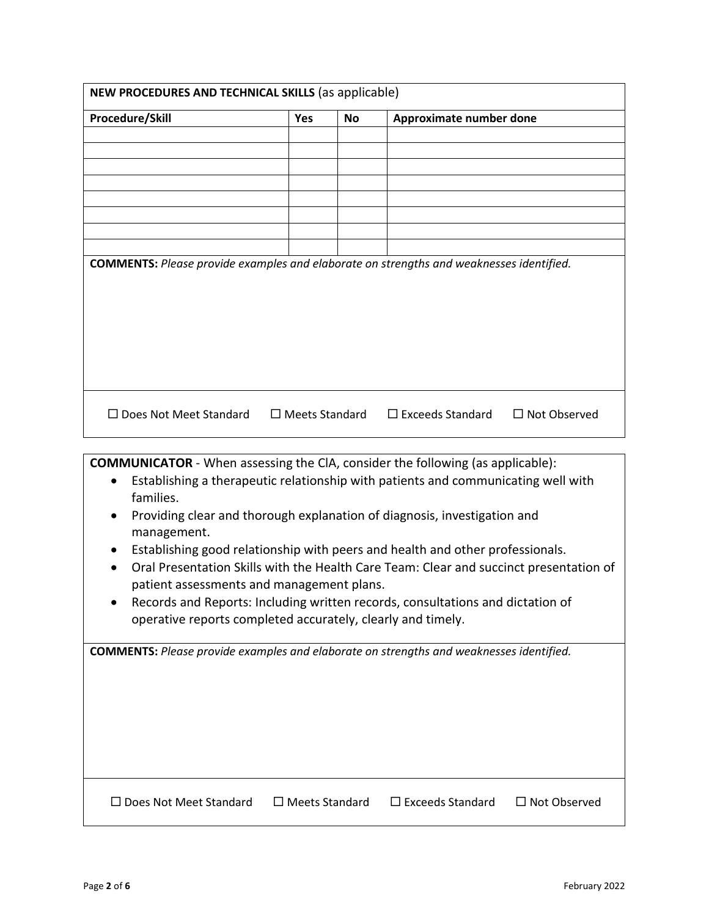| Procedure/Skill                                                                                | <b>Yes</b>            | <b>No</b> | Approximate number done                                                                                                                                                 |                     |
|------------------------------------------------------------------------------------------------|-----------------------|-----------|-------------------------------------------------------------------------------------------------------------------------------------------------------------------------|---------------------|
|                                                                                                |                       |           |                                                                                                                                                                         |                     |
|                                                                                                |                       |           |                                                                                                                                                                         |                     |
|                                                                                                |                       |           |                                                                                                                                                                         |                     |
|                                                                                                |                       |           |                                                                                                                                                                         |                     |
|                                                                                                |                       |           |                                                                                                                                                                         |                     |
|                                                                                                |                       |           |                                                                                                                                                                         |                     |
| <b>COMMENTS:</b> Please provide examples and elaborate on strengths and weaknesses identified. |                       |           |                                                                                                                                                                         |                     |
|                                                                                                |                       |           |                                                                                                                                                                         |                     |
| $\Box$ Does Not Meet Standard                                                                  | $\Box$ Meets Standard |           | $\Box$ Exceeds Standard                                                                                                                                                 | $\Box$ Not Observed |
| <b>COMMUNICATOR</b> - When assessing the CIA, consider the following (as applicable):          |                       |           |                                                                                                                                                                         |                     |
| $\bullet$                                                                                      |                       |           | Establishing a therapeutic relationship with patients and communicating well with                                                                                       |                     |
| families.                                                                                      |                       |           |                                                                                                                                                                         |                     |
|                                                                                                |                       |           | Providing clear and thorough explanation of diagnosis, investigation and                                                                                                |                     |
| management.                                                                                    |                       |           |                                                                                                                                                                         |                     |
| $\bullet$                                                                                      |                       |           | Establishing good relationship with peers and health and other professionals.<br>Oral Presentation Skills with the Health Care Team: Clear and succinct presentation of |                     |
| patient assessments and management plans.                                                      |                       |           |                                                                                                                                                                         |                     |
| operative reports completed accurately, clearly and timely.                                    |                       |           | Records and Reports: Including written records, consultations and dictation of                                                                                          |                     |
|                                                                                                |                       |           |                                                                                                                                                                         |                     |
|                                                                                                |                       |           |                                                                                                                                                                         |                     |
|                                                                                                |                       |           |                                                                                                                                                                         |                     |
| <b>COMMENTS:</b> Please provide examples and elaborate on strengths and weaknesses identified. |                       |           |                                                                                                                                                                         |                     |
|                                                                                                |                       |           |                                                                                                                                                                         |                     |
|                                                                                                |                       |           |                                                                                                                                                                         |                     |
|                                                                                                |                       |           |                                                                                                                                                                         |                     |
|                                                                                                |                       |           |                                                                                                                                                                         |                     |
|                                                                                                |                       |           |                                                                                                                                                                         |                     |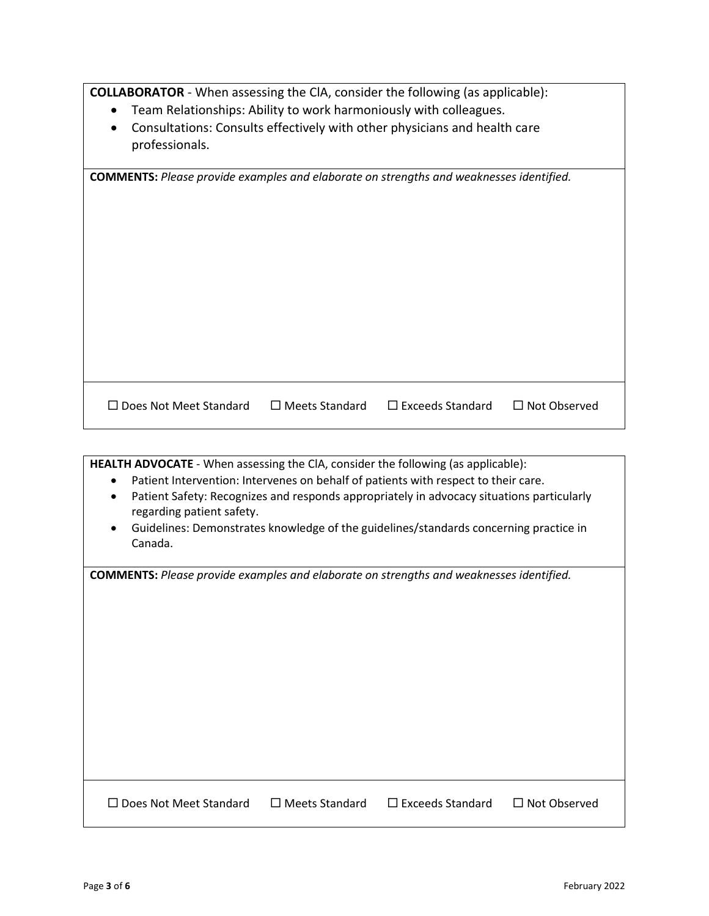**COLLABORATOR** - When assessing the ClA, consider the following (as applicable):

- Team Relationships: Ability to work harmoniously with colleagues.
- Consultations: Consults effectively with other physicians and health care professionals.

| <b>COMMENTS:</b> Please provide examples and elaborate on strengths and weaknesses identified. |                       |                         |                     |
|------------------------------------------------------------------------------------------------|-----------------------|-------------------------|---------------------|
|                                                                                                |                       |                         |                     |
|                                                                                                |                       |                         |                     |
|                                                                                                |                       |                         |                     |
|                                                                                                |                       |                         |                     |
|                                                                                                |                       |                         |                     |
|                                                                                                |                       |                         |                     |
|                                                                                                |                       |                         |                     |
|                                                                                                |                       |                         |                     |
|                                                                                                |                       |                         |                     |
|                                                                                                |                       |                         |                     |
| $\Box$ Does Not Meet Standard                                                                  | $\Box$ Meets Standard | $\Box$ Exceeds Standard | $\Box$ Not Observed |

| <b>HEALTH ADVOCATE</b> - When assessing the CIA, consider the following (as applicable):                 |
|----------------------------------------------------------------------------------------------------------|
| Patient Intervention: Intervenes on behalf of patients with respect to their care.<br>$\bullet$          |
| Patient Safety: Recognizes and responds appropriately in advocacy situations particularly<br>$\bullet$   |
| regarding patient safety.                                                                                |
| Guidelines: Demonstrates knowledge of the guidelines/standards concerning practice in                    |
| Canada.                                                                                                  |
|                                                                                                          |
| <b>COMMENTS:</b> Please provide examples and elaborate on strengths and weaknesses identified.           |
|                                                                                                          |
|                                                                                                          |
|                                                                                                          |
|                                                                                                          |
|                                                                                                          |
|                                                                                                          |
|                                                                                                          |
|                                                                                                          |
|                                                                                                          |
|                                                                                                          |
|                                                                                                          |
|                                                                                                          |
| $\Box$ Exceeds Standard<br>$\Box$ Meets Standard<br>$\Box$ Not Observed<br>$\Box$ Does Not Meet Standard |
|                                                                                                          |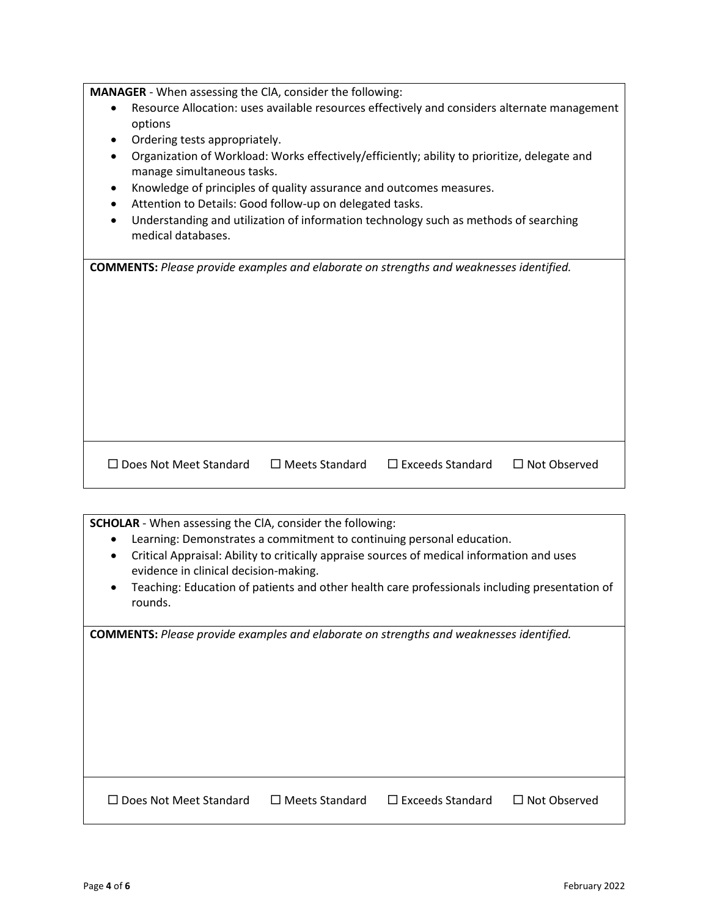**MANAGER** - When assessing the ClA, consider the following:

- Resource Allocation: uses available resources effectively and considers alternate management options
- Ordering tests appropriately.
- Organization of Workload: Works effectively/efficiently; ability to prioritize, delegate and manage simultaneous tasks.
- Knowledge of principles of quality assurance and outcomes measures.
- Attention to Details: Good follow-up on delegated tasks.
- Understanding and utilization of information technology such as methods of searching medical databases.

| <b>COMMENTS:</b> Please provide examples and elaborate on strengths and weaknesses identified. |  |
|------------------------------------------------------------------------------------------------|--|
|                                                                                                |  |

□ Does Not Meet Standard D Meets Standard D Exceeds Standard D Not Observed

**SCHOLAR** - When assessing the ClA, consider the following:

- Learning: Demonstrates a commitment to continuing personal education.
- Critical Appraisal: Ability to critically appraise sources of medical information and uses evidence in clinical decision-making.
- Teaching: Education of patients and other health care professionals including presentation of rounds.

**COMMENTS:** *Please provide examples and elaborate on strengths and weaknesses identified.*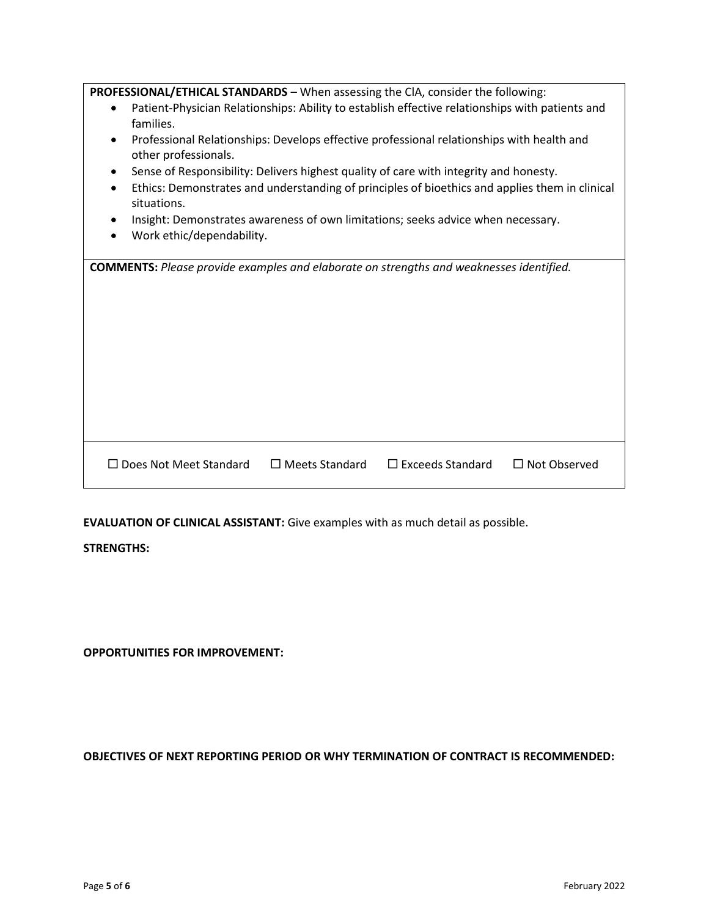| <b>PROFESSIONAL/ETHICAL STANDARDS</b> - When assessing the CIA, consider the following:                                   |  |
|---------------------------------------------------------------------------------------------------------------------------|--|
| Patient-Physician Relationships: Ability to establish effective relationships with patients and<br>$\bullet$<br>families. |  |
| Professional Relationships: Develops effective professional relationships with health and<br>other professionals.         |  |
| Sense of Responsibility: Delivers highest quality of care with integrity and honesty.                                     |  |
| Ethics: Demonstrates and understanding of principles of bioethics and applies them in clinical<br>situations.             |  |
| Insight: Demonstrates awareness of own limitations; seeks advice when necessary.                                          |  |
| Work ethic/dependability.                                                                                                 |  |
|                                                                                                                           |  |
| <b>COMMENTS:</b> Please provide examples and elaborate on strengths and weaknesses identified.                            |  |
|                                                                                                                           |  |
|                                                                                                                           |  |
|                                                                                                                           |  |
|                                                                                                                           |  |
|                                                                                                                           |  |
|                                                                                                                           |  |
|                                                                                                                           |  |
|                                                                                                                           |  |
|                                                                                                                           |  |
|                                                                                                                           |  |

**EVALUATION OF CLINICAL ASSISTANT:** Give examples with as much detail as possible.

## **STRENGTHS:**

**OPPORTUNITIES FOR IMPROVEMENT:**

**OBJECTIVES OF NEXT REPORTING PERIOD OR WHY TERMINATION OF CONTRACT IS RECOMMENDED:**